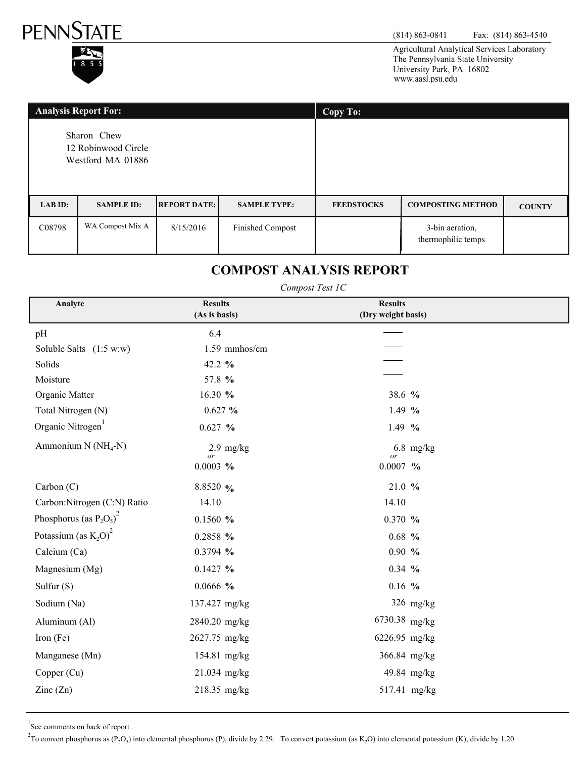

Agricultural Analytical Services Laboratory The Pennsylvania State University University Park, PA 16802 www.aasl.psu.edu

| <b>Analysis Report For:</b>                             |                   |                     | Copy To:                |                   |                                       |               |
|---------------------------------------------------------|-------------------|---------------------|-------------------------|-------------------|---------------------------------------|---------------|
| Sharon Chew<br>12 Robinwood Circle<br>Westford MA 01886 |                   |                     |                         |                   |                                       |               |
| LAB ID:                                                 | <b>SAMPLE ID:</b> | <b>REPORT DATE:</b> | <b>SAMPLE TYPE:</b>     | <b>FEEDSTOCKS</b> | <b>COMPOSTING METHOD</b>              | <b>COUNTY</b> |
| C08798                                                  | WA Compost Mix A  | 8/15/2016           | <b>Finished Compost</b> |                   | 3-bin aeration,<br>thermophilic temps |               |

# **COMPOST ANALYSIS REPORT**

#### *Compost Test 1C*

| Analyte                                  | <b>Results</b>       | <b>Results</b>     |  |
|------------------------------------------|----------------------|--------------------|--|
|                                          | (As is basis)        | (Dry weight basis) |  |
| pH                                       | 6.4                  |                    |  |
| Soluble Salts $(1:5 w:w)$                | 1.59 mmhos/cm        |                    |  |
| Solids                                   | 42.2 $%$             |                    |  |
| Moisture                                 | 57.8 %               |                    |  |
| Organic Matter                           | 16.30 %              | 38.6 %             |  |
| Total Nitrogen (N)                       | $0.627 \%$           | 1.49 $%$           |  |
| Organic Nitrogen                         | $0.627~\%$           | $1.49\%$           |  |
| Ammonium N $(NH_4-N)$                    | $2.9$ mg/kg<br>or    | $6.8$ mg/kg<br>or  |  |
|                                          | 0.0003~%             | $0.0007$ %         |  |
| Carbon (C)                               | 8.8520 $\frac{9}{6}$ | 21.0%              |  |
| Carbon: Nitrogen (C:N) Ratio             | 14.10                | 14.10              |  |
| Phosphorus (as $P_2O_5^2$ ) <sup>2</sup> | 0.1560%              | $0.370\%$          |  |
| Potassium (as $K_2O^2$ )                 | 0.2858 %             | $0.68\,%$          |  |
| Calcium (Ca)                             | 0.3794 %             | $0.90\%$           |  |
| Magnesium (Mg)                           | $0.1427 \%$          | $0.34 \frac{9}{6}$ |  |
| Sulfur $(S)$                             | 0.0666~%             | $0.16$ %           |  |
| Sodium (Na)                              | 137.427 mg/kg        | $326$ mg/kg        |  |
| Aluminum (Al)                            | 2840.20 mg/kg        | 6730.38 mg/kg      |  |
| Iron $(Fe)$                              | 2627.75 mg/kg        | 6226.95 mg/kg      |  |
| Manganese (Mn)                           | 154.81 mg/kg         | 366.84 mg/kg       |  |
| Copper (Cu)                              | 21.034 mg/kg         | 49.84 mg/kg        |  |
| $\text{Zinc}(\text{Zn})$                 | 218.35 mg/kg         | 517.41 mg/kg       |  |

<sup>1</sup>See comments on back of report.

<sup>2</sup>To convert phosphorus as (P<sub>2</sub>O<sub>5</sub>) into elemental phosphorus (P), divide by 2.29. To convert potassium (as K<sub>2</sub>O) into elemental potassium (K), divide by 1.20.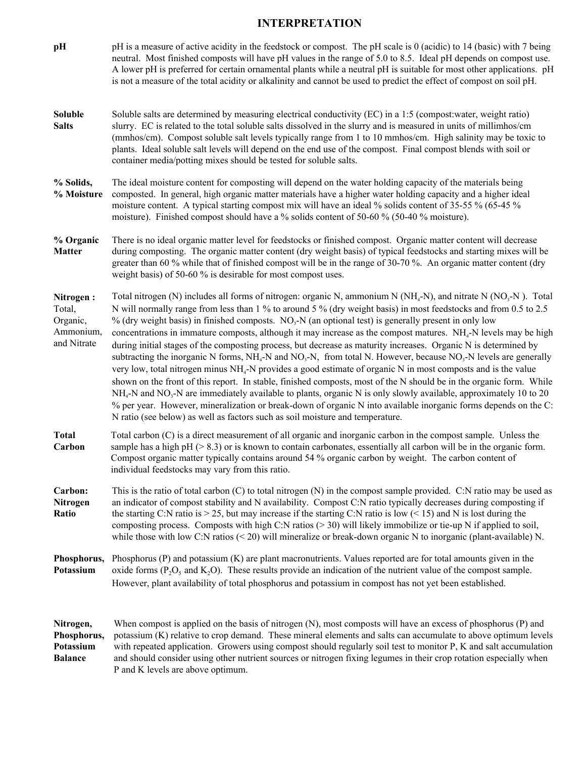## **INTERPRETATION**

| pH                                                          | pH is a measure of active acidity in the feedstock or compost. The pH scale is 0 (acidic) to 14 (basic) with 7 being<br>neutral. Most finished composts will have pH values in the range of 5.0 to 8.5. Ideal pH depends on compost use.<br>A lower pH is preferred for certain ornamental plants while a neutral pH is suitable for most other applications. pH<br>is not a measure of the total acidity or alkalinity and cannot be used to predict the effect of compost on soil pH.                                                                                                                                                                                                                                                                                                                                                                                                                                                                                                                                                                                                                                                                                                                                                                                                                                                           |
|-------------------------------------------------------------|---------------------------------------------------------------------------------------------------------------------------------------------------------------------------------------------------------------------------------------------------------------------------------------------------------------------------------------------------------------------------------------------------------------------------------------------------------------------------------------------------------------------------------------------------------------------------------------------------------------------------------------------------------------------------------------------------------------------------------------------------------------------------------------------------------------------------------------------------------------------------------------------------------------------------------------------------------------------------------------------------------------------------------------------------------------------------------------------------------------------------------------------------------------------------------------------------------------------------------------------------------------------------------------------------------------------------------------------------|
| Soluble<br><b>Salts</b>                                     | Soluble salts are determined by measuring electrical conductivity (EC) in a 1:5 (compost:water, weight ratio)<br>slurry. EC is related to the total soluble salts dissolved in the slurry and is measured in units of millimhos/cm<br>(mmhos/cm). Compost soluble salt levels typically range from 1 to 10 mmhos/cm. High salinity may be toxic to<br>plants. Ideal soluble salt levels will depend on the end use of the compost. Final compost blends with soil or<br>container media/potting mixes should be tested for soluble salts.                                                                                                                                                                                                                                                                                                                                                                                                                                                                                                                                                                                                                                                                                                                                                                                                         |
| % Solids,<br>% Moisture                                     | The ideal moisture content for composting will depend on the water holding capacity of the materials being<br>composted. In general, high organic matter materials have a higher water holding capacity and a higher ideal<br>moisture content. A typical starting compost mix will have an ideal % solids content of 35-55 % (65-45 %<br>moisture). Finished compost should have a % solids content of 50-60 % (50-40 % moisture).                                                                                                                                                                                                                                                                                                                                                                                                                                                                                                                                                                                                                                                                                                                                                                                                                                                                                                               |
| % Organic<br><b>Matter</b>                                  | There is no ideal organic matter level for feedstocks or finished compost. Organic matter content will decrease<br>during composting. The organic matter content (dry weight basis) of typical feedstocks and starting mixes will be<br>greater than 60 % while that of finished compost will be in the range of 30-70 %. An organic matter content (dry<br>weight basis) of 50-60 % is desirable for most compost uses.                                                                                                                                                                                                                                                                                                                                                                                                                                                                                                                                                                                                                                                                                                                                                                                                                                                                                                                          |
| Nitrogen:<br>Total,<br>Organic,<br>Ammonium,<br>and Nitrate | Total nitrogen (N) includes all forms of nitrogen: organic N, ammonium N ( $NH_4$ -N), and nitrate N ( $NO_3$ -N). Total<br>N will normally range from less than 1 % to around 5 % (dry weight basis) in most feedstocks and from 0.5 to 2.5<br>% (dry weight basis) in finished composts. $NO3-N$ (an optional test) is generally present in only low<br>concentrations in immature composts, although it may increase as the compost matures. NH <sub>4</sub> -N levels may be high<br>during initial stages of the composting process, but decrease as maturity increases. Organic N is determined by<br>subtracting the inorganic N forms, $NH_4$ -N and NO <sub>3</sub> -N, from total N. However, because NO <sub>3</sub> -N levels are generally<br>very low, total nitrogen minus NH <sub>4</sub> -N provides a good estimate of organic N in most composts and is the value<br>shown on the front of this report. In stable, finished composts, most of the N should be in the organic form. While<br>$NH4-N$ and NO <sub>3</sub> -N are immediately available to plants, organic N is only slowly available, approximately 10 to 20<br>% per year. However, mineralization or break-down of organic N into available inorganic forms depends on the C:<br>N ratio (see below) as well as factors such as soil moisture and temperature. |
| <b>Total</b><br>Carbon                                      | Total carbon (C) is a direct measurement of all organic and inorganic carbon in the compost sample. Unless the<br>sample has a high $pH$ ( $> 8.3$ ) or is known to contain carbonates, essentially all carbon will be in the organic form.<br>Compost organic matter typically contains around 54 % organic carbon by weight. The carbon content of<br>individual feedstocks may vary from this ratio.                                                                                                                                                                                                                                                                                                                                                                                                                                                                                                                                                                                                                                                                                                                                                                                                                                                                                                                                           |
| Carbon:<br>Nitrogen<br>Ratio                                | This is the ratio of total carbon $(C)$ to total nitrogen $(N)$ in the compost sample provided. $C:N$ ratio may be used as<br>an indicator of compost stability and N availability. Compost C:N ratio typically decreases during composting if<br>the starting C:N ratio is $> 25$ , but may increase if the starting C:N ratio is low (< 15) and N is lost during the<br>composting process. Composts with high C:N ratios (> 30) will likely immobilize or tie-up N if applied to soil,<br>while those with low C:N ratios $(< 20$ ) will mineralize or break-down organic N to inorganic (plant-available) N.                                                                                                                                                                                                                                                                                                                                                                                                                                                                                                                                                                                                                                                                                                                                  |
| Phosphorus,<br>Potassium                                    | Phosphorus $(P)$ and potassium $(K)$ are plant macronutrients. Values reported are for total amounts given in the<br>oxide forms ( $P_2O_5$ and $K_2O$ ). These results provide an indication of the nutrient value of the compost sample.<br>However, plant availability of total phosphorus and potassium in compost has not yet been established.                                                                                                                                                                                                                                                                                                                                                                                                                                                                                                                                                                                                                                                                                                                                                                                                                                                                                                                                                                                              |
| Nitrogen,<br>Phosphorus,<br>Potassium<br><b>Balance</b>     | When compost is applied on the basis of nitrogen (N), most composts will have an excess of phosphorus (P) and<br>potassium (K) relative to crop demand. These mineral elements and salts can accumulate to above optimum levels<br>with repeated application. Growers using compost should regularly soil test to monitor P, K and salt accumulation<br>and should consider using other nutrient sources or nitrogen fixing legumes in their crop rotation especially when<br>P and K levels are above optimum.                                                                                                                                                                                                                                                                                                                                                                                                                                                                                                                                                                                                                                                                                                                                                                                                                                   |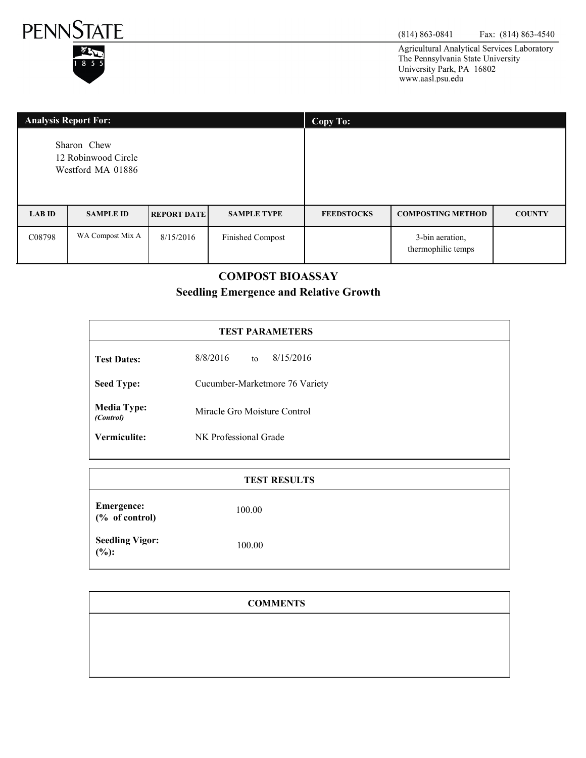



Agricultural Analytical Services Laboratory The Pennsylvania State University University Park, PA 16802 www.aasl.psu.edu

| <b>Analysis Report For:</b>                             |                  |                    | Copy To:                |                   |                                       |               |
|---------------------------------------------------------|------------------|--------------------|-------------------------|-------------------|---------------------------------------|---------------|
| Sharon Chew<br>12 Robinwood Circle<br>Westford MA 01886 |                  |                    |                         |                   |                                       |               |
| <b>LAB ID</b>                                           | <b>SAMPLE ID</b> | <b>REPORT DATE</b> | <b>SAMPLE TYPE</b>      | <b>FEEDSTOCKS</b> | <b>COMPOSTING METHOD</b>              | <b>COUNTY</b> |
| C08798                                                  | WA Compost Mix A | 8/15/2016          | <b>Finished Compost</b> |                   | 3-bin aeration,<br>thermophilic temps |               |

### **COMPOST BIOASSAY**

# **Seedling Emergence and Relative Growth**

| <b>TEST PARAMETERS</b>          |                                |  |  |
|---------------------------------|--------------------------------|--|--|
| <b>Test Dates:</b>              | 8/15/2016<br>8/8/2016<br>to    |  |  |
| <b>Seed Type:</b>               | Cucumber-Marketmore 76 Variety |  |  |
| <b>Media Type:</b><br>(Control) | Miracle Gro Moisture Control   |  |  |
| Vermiculite:                    | NK Professional Grade          |  |  |

| <b>TEST RESULTS</b>                                                        |        |  |  |
|----------------------------------------------------------------------------|--------|--|--|
| <b>Emergence:</b><br>$(% \mathcal{O}_{0}\cap \mathcal{O}_{0})$ of control) | 100.00 |  |  |
| <b>Seedling Vigor:</b><br>$(\%):$                                          | 100.00 |  |  |

| <b>COMMENTS</b> |
|-----------------|
|                 |
|                 |
|                 |